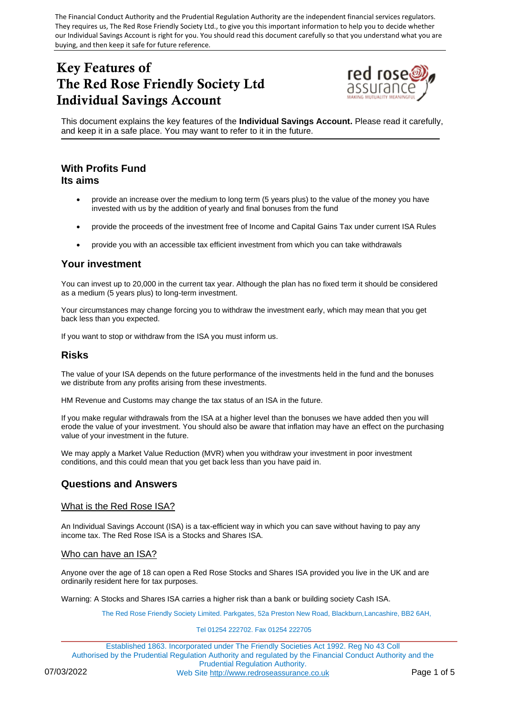The Financial Conduct Authority and the Prudential Regulation Authority are the independent financial services regulators. They requires us, The Red Rose Friendly Society Ltd., to give you this important information to help you to decide whether our Individual Savings Account is right for you. You should read this document carefully so that you understand what you are buying, and then keep it safe for future reference.

# Key Features of The Red Rose Friendly Society Ltd Individual Savings Account



This document explains the key features of the **Individual Savings Account.** Please read it carefully, and keep it in a safe place. You may want to refer to it in the future.

# **With Profits Fund Its aims**

- provide an increase over the medium to long term (5 years plus) to the value of the money you have invested with us by the addition of yearly and final bonuses from the fund
- provide the proceeds of the investment free of Income and Capital Gains Tax under current ISA Rules
- provide you with an accessible tax efficient investment from which you can take withdrawals

# **Your investment**

You can invest up to 20,000 in the current tax year. Although the plan has no fixed term it should be considered as a medium (5 years plus) to long-term investment.

Your circumstances may change forcing you to withdraw the investment early, which may mean that you get back less than you expected.

If you want to stop or withdraw from the ISA you must inform us.

# **Risks**

The value of your ISA depends on the future performance of the investments held in the fund and the bonuses we distribute from any profits arising from these investments.

HM Revenue and Customs may change the tax status of an ISA in the future.

If you make regular withdrawals from the ISA at a higher level than the bonuses we have added then you will erode the value of your investment. You should also be aware that inflation may have an effect on the purchasing value of your investment in the future.

We may apply a Market Value Reduction (MVR) when you withdraw your investment in poor investment conditions, and this could mean that you get back less than you have paid in.

# **Questions and Answers**

## What is the Red Rose ISA?

An Individual Savings Account (ISA) is a tax-efficient way in which you can save without having to pay any income tax. The Red Rose ISA is a Stocks and Shares ISA.

## Who can have an ISA?

Anyone over the age of 18 can open a Red Rose Stocks and Shares ISA provided you live in the UK and are ordinarily resident here for tax purposes.

Warning: A Stocks and Shares ISA carries a higher risk than a bank or building society Cash ISA.

The Red Rose Friendly Society Limited. Parkgates, 52a Preston New Road, Blackburn,Lancashire, BB2 6AH,

#### Tel 01254 222702. Fax 01254 222705

Established 1863. Incorporated under The Friendly Societies Act 1992. Reg No 43 Coll Authorised by the Prudential Regulation Authority and regulated by the Financial Conduct Authority and the Prudential Regulation Authority. 07/03/2022 Web Site [http://www.redroseassurance.co.uk](http://www.redroseassurance.co.uk/) Page 1 of 5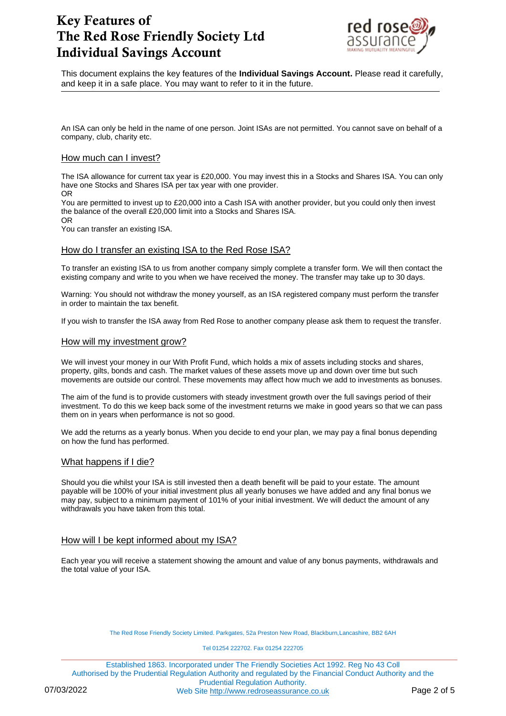

This document explains the key features of the **Individual Savings Account.** Please read it carefully, and keep it in a safe place. You may want to refer to it in the future.

An ISA can only be held in the name of one person. Joint ISAs are not permitted. You cannot save on behalf of a company, club, charity etc.

## How much can I invest?

The ISA allowance for current tax year is £20,000. You may invest this in a Stocks and Shares ISA. You can only have one Stocks and Shares ISA per tax year with one provider. OR

You are permitted to invest up to £20,000 into a Cash ISA with another provider, but you could only then invest the balance of the overall £20,000 limit into a Stocks and Shares ISA.

OR

You can transfer an existing ISA.

## How do I transfer an existing ISA to the Red Rose ISA?

To transfer an existing ISA to us from another company simply complete a transfer form. We will then contact the existing company and write to you when we have received the money. The transfer may take up to 30 days.

Warning: You should not withdraw the money yourself, as an ISA registered company must perform the transfer in order to maintain the tax benefit.

If you wish to transfer the ISA away from Red Rose to another company please ask them to request the transfer.

## How will my investment grow?

We will invest your money in our With Profit Fund, which holds a mix of assets including stocks and shares, property, gilts, bonds and cash. The market values of these assets move up and down over time but such movements are outside our control. These movements may affect how much we add to investments as bonuses.

The aim of the fund is to provide customers with steady investment growth over the full savings period of their investment. To do this we keep back some of the investment returns we make in good years so that we can pass them on in years when performance is not so good.

We add the returns as a yearly bonus. When you decide to end your plan, we may pay a final bonus depending on how the fund has performed.

## What happens if I die?

Should you die whilst your ISA is still invested then a death benefit will be paid to your estate. The amount payable will be 100% of your initial investment plus all yearly bonuses we have added and any final bonus we may pay, subject to a minimum payment of 101% of your initial investment. We will deduct the amount of any withdrawals you have taken from this total.

# How will I be kept informed about my ISA?

Each year you will receive a statement showing the amount and value of any bonus payments, withdrawals and the total value of your ISA.

The Red Rose Friendly Society Limited. Parkgates, 52a Preston New Road, Blackburn, Lancashire, BB2 6AH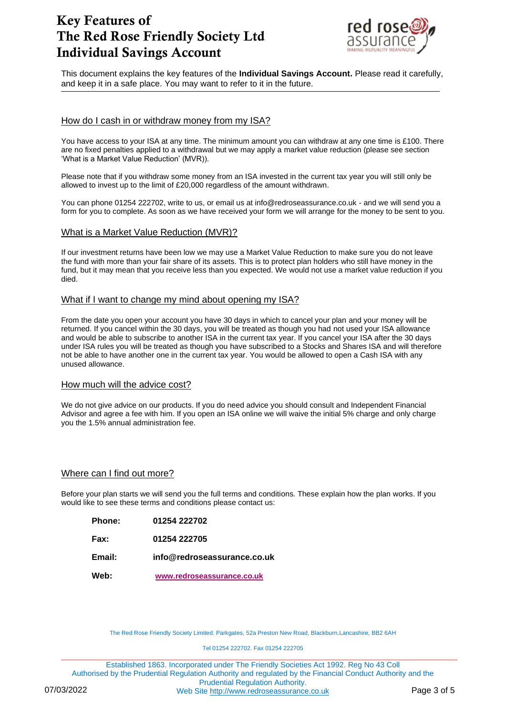

This document explains the key features of the **Individual Savings Account.** Please read it carefully, and keep it in a safe place. You may want to refer to it in the future.

# How do I cash in or withdraw money from my ISA?

You have access to your ISA at any time. The minimum amount you can withdraw at any one time is £100. There are no fixed penalties applied to a withdrawal but we may apply a market value reduction (please see section 'What is a Market Value Reduction' (MVR)).

Please note that if you withdraw some money from an ISA invested in the current tax year you will still only be allowed to invest up to the limit of £20,000 regardless of the amount withdrawn.

You can phone 01254 222702, write to us, or email us at info@redroseassurance.co.uk - and we will send you a form for you to complete. As soon as we have received your form we will arrange for the money to be sent to you.

## What is a Market Value Reduction (MVR)?

If our investment returns have been low we may use a Market Value Reduction to make sure you do not leave the fund with more than your fair share of its assets. This is to protect plan holders who still have money in the fund, but it may mean that you receive less than you expected. We would not use a market value reduction if you died.

## What if I want to change my mind about opening my ISA?

From the date you open your account you have 30 days in which to cancel your plan and your money will be returned. If you cancel within the 30 days, you will be treated as though you had not used your ISA allowance and would be able to subscribe to another ISA in the current tax year. If you cancel your ISA after the 30 days under ISA rules you will be treated as though you have subscribed to a Stocks and Shares ISA and will therefore not be able to have another one in the current tax year. You would be allowed to open a Cash ISA with any unused allowance.

## How much will the advice cost?

We do not give advice on our products. If you do need advice you should consult and Independent Financial Advisor and agree a fee with him. If you open an ISA online we will waive the initial 5% charge and only charge you the 1.5% annual administration fee.

# Where can I find out more?

Before your plan starts we will send you the full terms and conditions. These explain how the plan works. If you would like to see these terms and conditions please contact us:

| Web:          | www.redroseassurance.co.uk  |
|---------------|-----------------------------|
| Email:        | info@redroseassurance.co.uk |
| Fax:          | 01254 222705                |
| <b>Phone:</b> | 01254 222702                |

The Red Rose Friendly Society Limited. Parkgates, 52a Preston New Road, Blackburn, Lancashire, BB2 6AH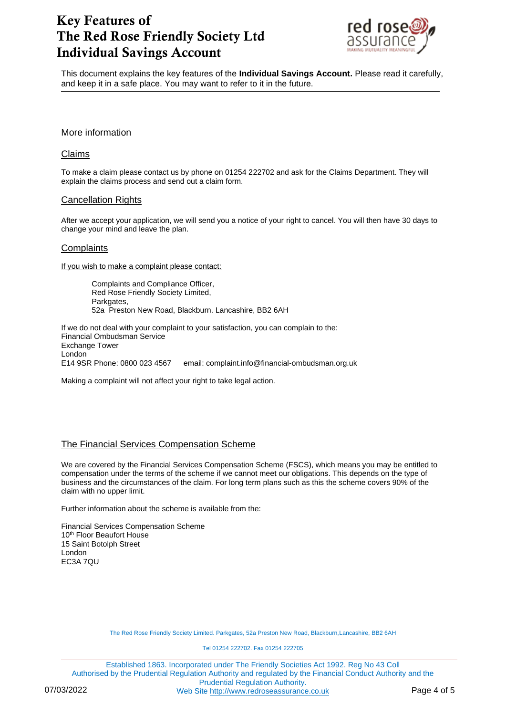

This document explains the key features of the **Individual Savings Account.** Please read it carefully, and keep it in a safe place. You may want to refer to it in the future.

More information

# Claims

To make a claim please contact us by phone on 01254 222702 and ask for the Claims Department. They will explain the claims process and send out a claim form.

## Cancellation Rights

After we accept your application, we will send you a notice of your right to cancel. You will then have 30 days to change your mind and leave the plan.

## **Complaints**

If you wish to make a complaint please contact:

Complaints and Compliance Officer, Red Rose Friendly Society Limited, Parkgates, 52a Preston New Road, Blackburn. Lancashire, BB2 6AH

If we do not deal with your complaint to your satisfaction, you can complain to the: Financial Ombudsman Service Exchange Tower London E14 9SR Phone: 0800 023 4567 email: complaint.info@financial-ombudsman.org.uk

Making a complaint will not affect your right to take legal action.

# The Financial Services Compensation Scheme

We are covered by the Financial Services Compensation Scheme (FSCS), which means you may be entitled to compensation under the terms of the scheme if we cannot meet our obligations. This depends on the type of business and the circumstances of the claim. For long term plans such as this the scheme covers 90% of the claim with no upper limit.

Further information about the scheme is available from the:

Financial Services Compensation Scheme 10<sup>th</sup> Floor Beaufort House 15 Saint Botolph Street London EC3A 7QU

The Red Rose Friendly Society Limited. Parkgates, 52a Preston New Road, Blackburn,Lancashire, BB2 6AH